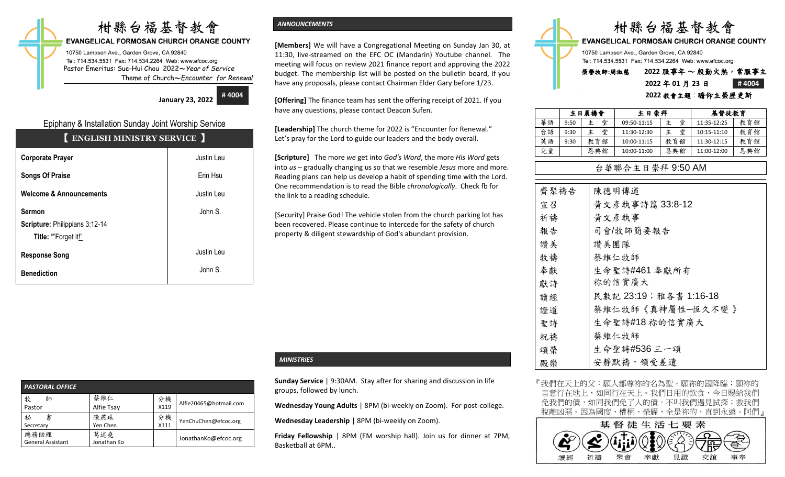# 柑縣台福基督教會

### **EVANGELICAL FORMOSAN CHURCH ORANGE COUNTY**

10750 Lampson Ave., Garden Grove, CA 92840 Tel: 714.534.5531 Fax: 714.534.2264 Web: www.efcoc.org Pastor Emeritus: Sue-Hui Chou 2022〜*Year of Service* Theme of Church〜*Encounter for Renewal*

**January 23, 2022**

**# 4004**

# Epiphany & Installation Sunday Joint Worship Service

| <b>ENGLISH MINISTRY SERVICE</b>                                        |            |  |  |  |  |
|------------------------------------------------------------------------|------------|--|--|--|--|
| <b>Corporate Prayer</b>                                                | Justin Leu |  |  |  |  |
| <b>Songs Of Praise</b>                                                 | Erin Hsu   |  |  |  |  |
| <b>Welcome &amp; Announcements</b>                                     | Justin Leu |  |  |  |  |
| <b>Sermon</b><br>Scripture: Philippians 3:12-14<br>Title: "Forget it!" | John S.    |  |  |  |  |
| <b>Response Song</b>                                                   | Justin Leu |  |  |  |  |
| <b>Benediction</b>                                                     | John S.    |  |  |  |  |

# *ANNOUNCEMENTS*

**[Members]** We will have a Congregational Meeting on Sunday Jan 30, at 11:30, live-streamed on the EFC OC (Mandarin) Youtube channel. The meeting will focus on review 2021 finance report and approving the 2022 budget. The membership list will be posted on the bulletin board, if you have any proposals, please contact Chairman Elder Gary before 1/23.

**[Offering]** The finance team has sent the offering receipt of 2021. If you have any questions, please contact Deacon Sufen.

**[Leadership]** The church theme for 2022 is "Encounter for Renewal." Let's pray for the Lord to guide our leaders and the body overall.

**[Scripture]** The more *we* get into *God's Word*, the more *His Word* gets into *us* – gradually changing us so that we resemble *Jesus* more and more. Reading plans can help us develop a habit of spending time with the Lord. One recommendation is to read the Bible *chronologically*. Check fb for the link to a reading schedule.

[Security] Praise God! The vehicle stolen from the church parking lot has been recovered. Please continue to intercede for the safety of church property & diligent stewardship of God's abundant provision.

| <b>PASTORAL OFFICE</b>           |                    |            |                        |  |  |  |  |
|----------------------------------|--------------------|------------|------------------------|--|--|--|--|
| 牧<br>師<br>Pastor                 | 蔡維仁<br>Alfie Tsay  | 分機<br>X119 | Alfie20465@hotmail.com |  |  |  |  |
| 書<br>祕<br>Secretary              | 陳燕珠<br>Yen Chen    | 分機<br>X111 | YenChuChen@efcoc.org   |  |  |  |  |
| 總務助理<br><b>General Assistant</b> | 葛述堯<br>Jonathan Ko |            | JonathanKo@efcoc.org   |  |  |  |  |

# *MINISTRIES*

**Sunday Service** | 9:30AM. Stay after for sharing and discussion in life groups, followed by lunch.

**Wednesday Young Adults** | 8PM (bi-weekly on Zoom). For post-college.

**Wednesday Leadership** | 8PM (bi-weekly on Zoom).

**Friday Fellowship** | 8PM (EM worship hall). Join us for dinner at 7PM, Basketball at 6PM..

|                                                                                                      |             | 柑縣台福基督教會           |       |
|------------------------------------------------------------------------------------------------------|-------------|--------------------|-------|
| <b>EVANGELICAL FORMOSAN CHURCH ORANGE COUNTY</b>                                                     |             |                    |       |
| 10750 Lampson Ave., Garden Grove, CA 92840<br>Tel: 714.534.5531 Fax: 714.534.2264 Web: www.efcoc.org |             |                    |       |
| 榮譽牧師:周淑慧                                                                                             |             | 2022 服事年~殷勤火熱,常服事主 |       |
|                                                                                                      | 2022年01月23日 |                    | #4004 |
|                                                                                                      |             | 2022 教會主題:瞻仰主榮歷更新  |       |

|    | 主日晨禱會 |        | 主日崇拜        |        |             | 基督徒教育 |  |
|----|-------|--------|-------------|--------|-------------|-------|--|
| 華語 | 9:50  | 堂      | 09:50-11:15 | 堂<br>主 | 11:35-12:25 | 教育館   |  |
| 台語 | 9:30  | 堂<br>主 | 11:30-12:30 | 堂<br>ŧ | 10:15-11:10 | 教育館   |  |
| 英語 | 9:30  | 教育館    | 10:00-11:15 | 教育館    | 11:30-12:15 | 教育館   |  |
| 兒童 |       | 恩典館    | 10:00-11:00 | 恩典館    | 11:00-12:00 | 恩典館   |  |

# 台華聯合主日崇拜 9:50 AM

| 齊聚禱告 | 陳德明傳道                 |
|------|-----------------------|
| 宣召   | 黃文彥執事詩篇 33:8-12       |
| 祈禱   | 黄文彦執事                 |
| 報告   | 司會/牧師簡要報告             |
| 讚美   | 讚美團隊                  |
| 牧禱   | 蔡維仁牧師                 |
| 奉獻   | 生命聖詩#461 奉獻所有         |
| 獻詩   | 祢的信實廣大                |
| 讀經   | 民數記 23:19;雅各書 1:16-18 |
| 證道   | 蔡維仁牧師《真神屬性-恆久不變 》     |
| 聖詩   | 生命聖詩#18 祢的信實廣大        |
| 祝禱   | 蔡維仁牧師                 |
| 頌榮   | 生命聖詩#536 三一頌          |
| 殿樂   | 安靜默禱,領受差遣             |

『我們在天上的父:願人都尊祢的名為聖。願祢的國降臨;願祢的 旨意行在地上,如同行在天上。我們日用的飲食,今日賜給我們 免我們的債,如同我們免了人的債。不叫我們遇見試探;救我們 脫離凶惡。因為國度、權柄、榮耀,全是祢的,直到永遠。阿們』